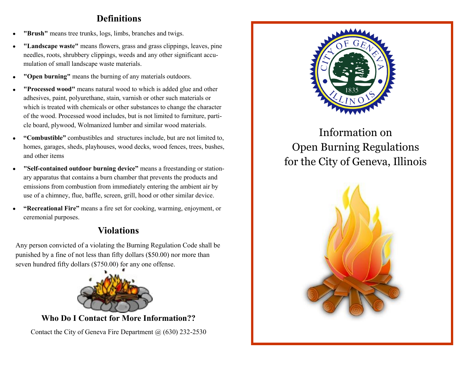# **Definitions**

- **"Brush"** means tree trunks, logs, limbs, branches and twigs.
- **"Landscape waste"** means flowers, grass and grass clippings, leaves, pine needles, roots, shrubbery clippings, weeds and any other significant accumulation of small landscape waste materials.
- **"Open burning"** means the burning of any materials outdoors.
- **"Processed wood"** means natural wood to which is added glue and other adhesives, paint, polyurethane, stain, varnish or other such materials or which is treated with chemicals or other substances to change the character of the wood. Processed wood includes, but is not limited to furniture, particle board, plywood, Wolmanized lumber and similar wood materials.
- **"Combustible"** combustibles and structures include, but are not limited to, homes, garages, sheds, playhouses, wood decks, wood fences, trees, bushes, and other items
- **"Self-contained outdoor burning device"** means a freestanding or stationary apparatus that contains a burn chamber that prevents the products and emissions from combustion from immediately entering the ambient air by use of a chimney, flue, baffle, screen, grill, hood or other similar device.
- **"Recreational Fire"** means a fire set for cooking, warming, enjoyment, or ceremonial purposes.

# **Violations**

Any person convicted of a violating the Burning Regulation Code shall be punished by a fine of not less than fifty dollars (\$50.00) nor more than seven hundred fifty dollars (\$750.00) for any one offense.



**Who Do I Contact for More Information??**

Contact the City of Geneva Fire Department @ (630) 232-2530



Information on Open Burning Regulations for the City of Geneva, Illinois